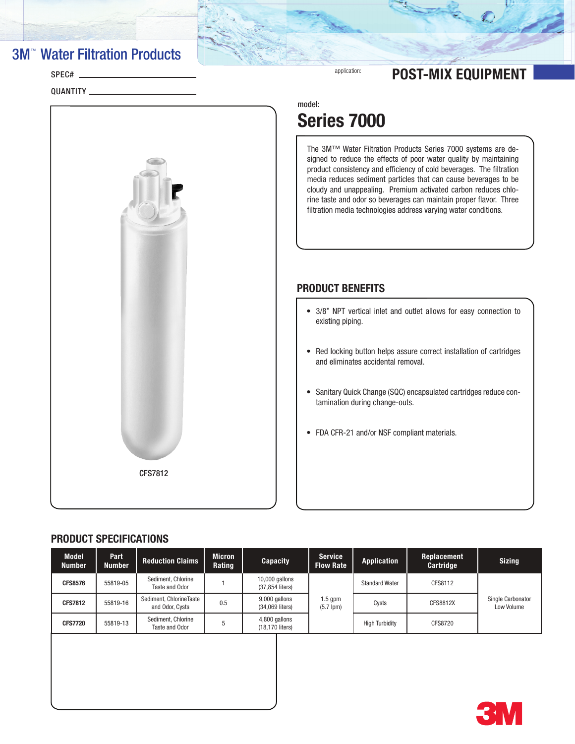### **3M<sup>™</sup> Water Filtration Products**

SPEC#

QUANTITY

## application: **POST-MIX EQUIPMENT**

model:

## Series 7000

The 3M™ Water Filtration Products Series 7000 systems are designed to reduce the effects of poor water quality by maintaining product consistency and efficiency of cold beverages. The filtration media reduces sediment particles that can cause beverages to be cloudy and unappealing. Premium activated carbon reduces chlorine taste and odor so beverages can maintain proper flavor. Three filtration media technologies address varying water conditions.

### PRODUCT BENEFITS

- 3/8" NPT vertical inlet and outlet allows for easy connection to existing piping.
- Red locking button helps assure correct installation of cartridges and eliminates accidental removal.
- Sanitary Quick Change (SQC) encapsulated cartridges reduce contamination during change-outs.
- FDA CFR-21 and/or NSF compliant materials.

### PRODUCT SPECIFICATIONS

CFS7812

| <b>Model</b><br><b>Number</b> | Part<br><b>Number</b> | <b>Reduction Claims</b>                    | <b>Micron</b><br>Rating | <b>Capacity</b>                   | <b>Service</b><br><b>Flow Rate</b> | <b>Application</b>    | Replacement<br>Cartridge | <b>Sizing</b>                   |
|-------------------------------|-----------------------|--------------------------------------------|-------------------------|-----------------------------------|------------------------------------|-----------------------|--------------------------|---------------------------------|
| <b>CFS8576</b>                | 55819-05              | Sediment, Chlorine<br>Taste and Odor       |                         | 10,000 gallons<br>(37,854 liters) |                                    | <b>Standard Water</b> | CFS8112                  | Single Carbonator<br>Low Volume |
| <b>CFS7812</b>                | 55819-16              | Sediment, ChlorineTaste<br>and Odor, Cysts | 0.5                     | 9,000 gallons<br>(34,069 liters)  | $1.5$ gpm<br>$(5.7$ lpm $)$        | Cysts                 | CFS8812X                 |                                 |
| <b>CFS7720</b>                | 55819-13              | Sediment, Chlorine<br>Taste and Odor       | 5                       | 4,800 gallons<br>(18,170 liters)  |                                    | <b>High Turbidity</b> | CFS8720                  |                                 |
|                               |                       |                                            |                         |                                   |                                    |                       |                          |                                 |